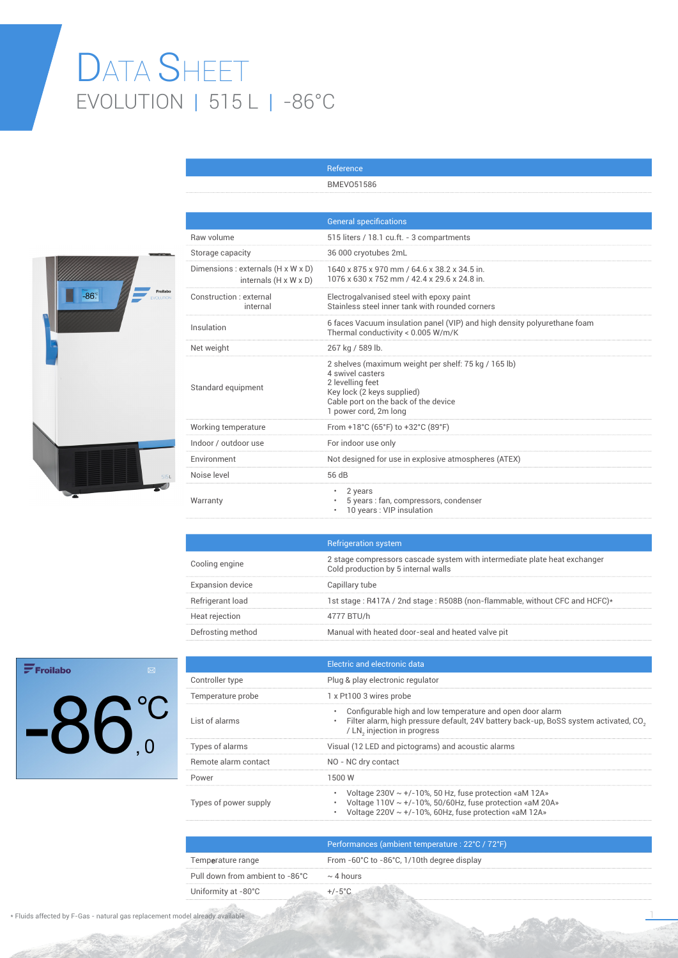## DATA SHEET EVOLUTION | 515 L | -86°C



|                                                                         | <b>General specifications</b>                                                                                                                                                               |
|-------------------------------------------------------------------------|---------------------------------------------------------------------------------------------------------------------------------------------------------------------------------------------|
| Raw volume                                                              | 515 liters / 18.1 cu.ft. - 3 compartments                                                                                                                                                   |
| Storage capacity                                                        | 36 000 cryotubes 2mL                                                                                                                                                                        |
| Dimensions : externals (H x W x D)<br>internals $(H \times W \times D)$ | 1640 x 875 x 970 mm / 64.6 x 38.2 x 34.5 in.<br>1076 x 630 x 752 mm / 42.4 x 29.6 x 24.8 in.                                                                                                |
| Construction : external<br>internal                                     | Electrogalvanised steel with epoxy paint<br>Stainless steel inner tank with rounded corners                                                                                                 |
| Insulation                                                              | 6 faces Vacuum insulation panel (VIP) and high density polyurethane foam<br>Thermal conductivity < 0.005 W/m/K                                                                              |
| Net weight                                                              | 267 kg / 589 lb.                                                                                                                                                                            |
| Standard equipment                                                      | 2 shelves (maximum weight per shelf: 75 kg / 165 lb)<br>4 swivel casters<br>2 levelling feet<br>Key lock (2 keys supplied)<br>Cable port on the back of the device<br>1 power cord, 2m long |
| Working temperature                                                     | From +18°C (65°F) to +32°C (89°F)                                                                                                                                                           |
| Indoor / outdoor use                                                    | For indoor use only                                                                                                                                                                         |
| Environment                                                             | Not designed for use in explosive atmospheres (ATEX)                                                                                                                                        |
| Noise level                                                             | 56 dB                                                                                                                                                                                       |
| Warranty                                                                | 2 years<br>۰<br>5 years : fan, compressors, condenser<br>10 years: VIP insulation                                                                                                           |

Reference BMEVO51586

|                         | <b>Refrigeration system</b>                                                                                      |
|-------------------------|------------------------------------------------------------------------------------------------------------------|
| Cooling engine          | 2 stage compressors cascade system with intermediate plate heat exchanger<br>Cold production by 5 internal walls |
| <b>Expansion device</b> | Capillary tube                                                                                                   |
| Refrigerant load        | 1st stage: R417A / 2nd stage: R508B (non-flammable, without CFC and HCFC)*                                       |
| Heat rejection          | 4777 BTU/h                                                                                                       |
| Defrosting method       | Manual with heated door-seal and heated valve pit                                                                |

## $\mathbf{F}$ Froilabo  $-86^\circ$

|                       | Electric and electronic data                                                                                                                                                                   |
|-----------------------|------------------------------------------------------------------------------------------------------------------------------------------------------------------------------------------------|
| Controller type       | Plug & play electronic regulator                                                                                                                                                               |
| Temperature probe     | 1 x Pt100 3 wires probe                                                                                                                                                                        |
| List of alarms        | Configurable high and low temperature and open door alarm<br>Filter alarm, high pressure default, 24V battery back-up, BoSS system activated, CO <sub>3</sub><br>/ LN, injection in progress   |
| Types of alarms       | Visual (12 LED and pictograms) and acoustic alarms                                                                                                                                             |
| Remote alarm contact  | NO - NC dry contact                                                                                                                                                                            |
| Power                 | 1500 W                                                                                                                                                                                         |
| Types of power supply | Voltage $230V \sim +/-10\%$ , 50 Hz, fuse protection «aM 12A»<br>Voltage $110V \sim +/-10\%$ , 50/60Hz, fuse protection «aM 20A»<br>Voltage 220V $\sim$ +/-10%, 60Hz, fuse protection «aM 12A» |

|                                 | Performances (ambient temperature : 22°C / 72°F) |
|---------------------------------|--------------------------------------------------|
| Temperature range               | From -60°C to -86°C, 1/10th degree display       |
| Pull down from ambient to -86°C | $\sim$ 4 hours                                   |
| Uniformity at -80°C             |                                                  |